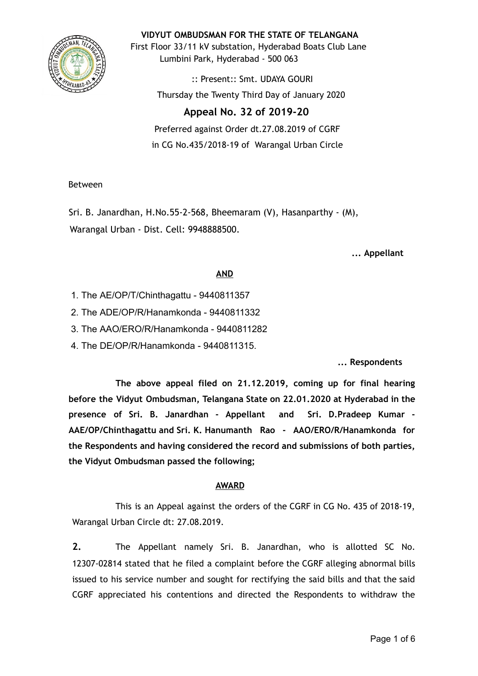

**VIDYUT OMBUDSMAN FOR THE STATE OF TELANGANA**

First Floor 33/11 kV substation, Hyderabad Boats Club Lane Lumbini Park, Hyderabad - 500 063

> :: Present:: Smt. UDAYA GOURI Thursday the Twenty Third Day of January 2020

# **Appeal No. 32 of 2019-20**

Preferred against Order dt.27.08.2019 of CGRF in CG No.435/2018-19 of Warangal Urban Circle

## Between

Sri. B. Janardhan, H.No.55-2-568, Bheemaram (V), Hasanparthy - (M), Warangal Urban - Dist. Cell: 9948888500.

**... Appellant**

## **AND**

- 1. The AE/OP/T/Chinthagattu 9440811357
- 2. The ADE/OP/R/Hanamkonda 9440811332
- 3. The AAO/ERO/R/Hanamkonda 9440811282
- 4. The DE/OP/R/Hanamkonda 9440811315.

**... Respondents**

**The above appeal filed on 21.12.2019, coming up for final hearing before the Vidyut Ombudsman, Telangana State on 22.01.2020 at Hyderabad in the presence of Sri. B. Janardhan - Appellant and Sri. D.Pradeep Kumar - AAE/OP/Chinthagattu and Sri. K. Hanumanth Rao - AAO/ERO/R/Hanamkonda for the Respondents and having considered the record and submissions of both parties, the Vidyut Ombudsman passed the following;**

## **AWARD**

This is an Appeal against the orders of the CGRF in CG No. 435 of 2018-19, Warangal Urban Circle dt: 27.08.2019.

**2.** The Appellant namely Sri. B. Janardhan, who is allotted SC No. 12307-02814 stated that he filed a complaint before the CGRF alleging abnormal bills issued to his service number and sought for rectifying the said bills and that the said CGRF appreciated his contentions and directed the Respondents to withdraw the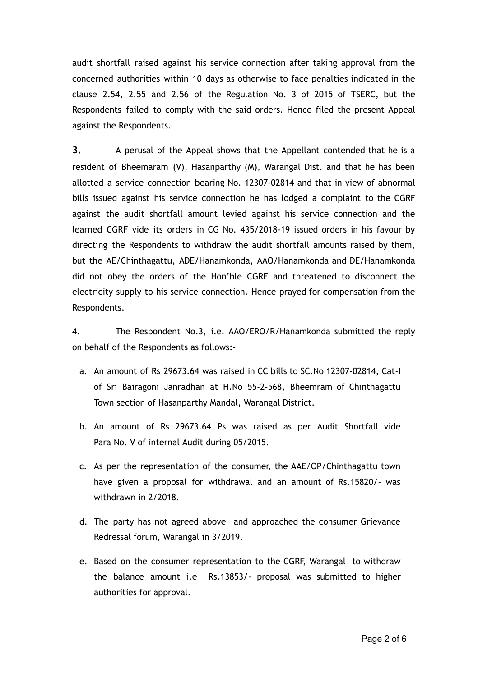audit shortfall raised against his service connection after taking approval from the concerned authorities within 10 days as otherwise to face penalties indicated in the clause 2.54, 2.55 and 2.56 of the Regulation No. 3 of 2015 of TSERC, but the Respondents failed to comply with the said orders. Hence filed the present Appeal against the Respondents.

**3.** A perusal of the Appeal shows that the Appellant contended that he is a resident of Bheemaram (V), Hasanparthy (M), Warangal Dist. and that he has been allotted a service connection bearing No. 12307-02814 and that in view of abnormal bills issued against his service connection he has lodged a complaint to the CGRF against the audit shortfall amount levied against his service connection and the learned CGRF vide its orders in CG No. 435/2018-19 issued orders in his favour by directing the Respondents to withdraw the audit shortfall amounts raised by them, but the AE/Chinthagattu, ADE/Hanamkonda, AAO/Hanamkonda and DE/Hanamkonda did not obey the orders of the Hon'ble CGRF and threatened to disconnect the electricity supply to his service connection. Hence prayed for compensation from the Respondents.

4. The Respondent No.3, i.e. AAO/ERO/R/Hanamkonda submitted the reply on behalf of the Respondents as follows:-

- a. An amount of Rs 29673.64 was raised in CC bills to SC.No 12307-02814, Cat-I of Sri Bairagoni Janradhan at H.No 55-2-568, Bheemram of Chinthagattu Town section of Hasanparthy Mandal, Warangal District.
- b. An amount of Rs 29673.64 Ps was raised as per Audit Shortfall vide Para No. V of internal Audit during 05/2015.
- c. As per the representation of the consumer, the AAE/OP/Chinthagattu town have given a proposal for withdrawal and an amount of Rs.15820/- was withdrawn in 2/2018.
- d. The party has not agreed above and approached the consumer Grievance Redressal forum, Warangal in 3/2019.
- e. Based on the consumer representation to the CGRF, Warangal to withdraw the balance amount i.e Rs.13853/- proposal was submitted to higher authorities for approval.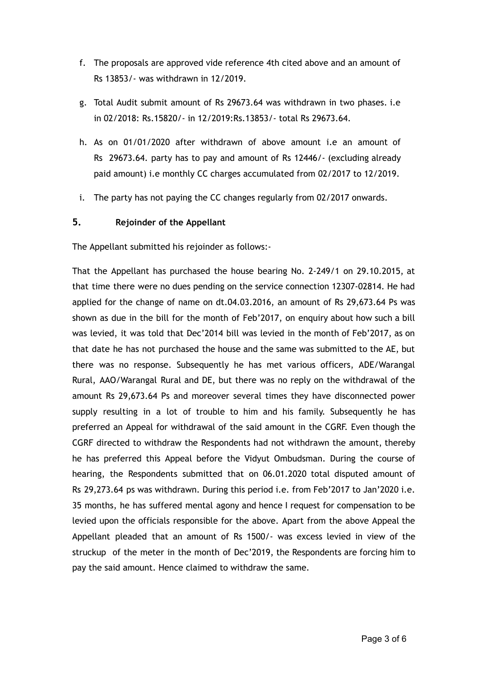- f. The proposals are approved vide reference 4th cited above and an amount of Rs 13853/- was withdrawn in 12/2019.
- g. Total Audit submit amount of Rs 29673.64 was withdrawn in two phases. i.e in 02/2018: Rs.15820/- in 12/2019:Rs.13853/- total Rs 29673.64.
- h. As on 01/01/2020 after withdrawn of above amount i.e an amount of Rs 29673.64. party has to pay and amount of Rs 12446/- (excluding already paid amount) i.e monthly CC charges accumulated from 02/2017 to 12/2019.
- i. The party has not paying the CC changes regularly from 02/2017 onwards.

## **5. Rejoinder of the Appellant**

The Appellant submitted his rejoinder as follows:-

That the Appellant has purchased the house bearing No. 2-249/1 on 29.10.2015, at that time there were no dues pending on the service connection 12307-02814. He had applied for the change of name on dt.04.03.2016, an amount of Rs 29,673.64 Ps was shown as due in the bill for the month of Feb'2017, on enquiry about how such a bill was levied, it was told that Dec'2014 bill was levied in the month of Feb'2017, as on that date he has not purchased the house and the same was submitted to the AE, but there was no response. Subsequently he has met various officers, ADE/Warangal Rural, AAO/Warangal Rural and DE, but there was no reply on the withdrawal of the amount Rs 29,673.64 Ps and moreover several times they have disconnected power supply resulting in a lot of trouble to him and his family. Subsequently he has preferred an Appeal for withdrawal of the said amount in the CGRF. Even though the CGRF directed to withdraw the Respondents had not withdrawn the amount, thereby he has preferred this Appeal before the Vidyut Ombudsman. During the course of hearing, the Respondents submitted that on 06.01.2020 total disputed amount of Rs 29,273.64 ps was withdrawn. During this period i.e. from Feb'2017 to Jan'2020 i.e. 35 months, he has suffered mental agony and hence I request for compensation to be levied upon the officials responsible for the above. Apart from the above Appeal the Appellant pleaded that an amount of Rs 1500/- was excess levied in view of the struckup of the meter in the month of Dec'2019, the Respondents are forcing him to pay the said amount. Hence claimed to withdraw the same.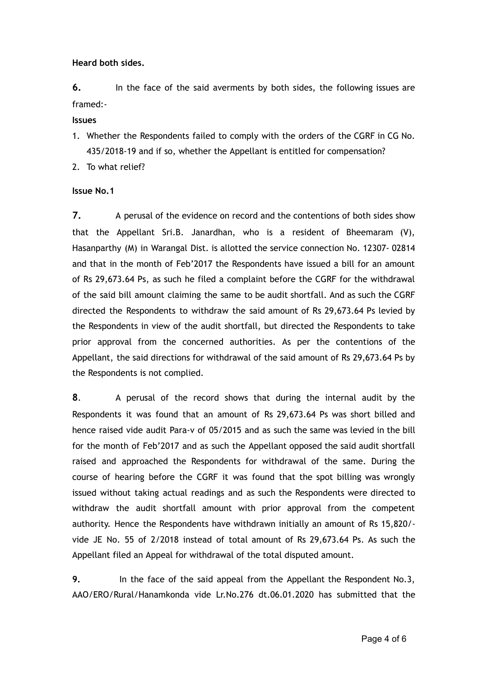**Heard both sides.**

**6.** In the face of the said averments by both sides, the following issues are framed:-

#### **Issues**

- 1. Whether the Respondents failed to comply with the orders of the CGRF in CG No. 435/2018-19 and if so, whether the Appellant is entitled for compensation?
- 2. To what relief?

### **Issue No.1**

**7.** A perusal of the evidence on record and the contentions of both sides show that the Appellant Sri.B. Janardhan, who is a resident of Bheemaram (V), Hasanparthy (M) in Warangal Dist. is allotted the service connection No. 12307- 02814 and that in the month of Feb'2017 the Respondents have issued a bill for an amount of Rs 29,673.64 Ps, as such he filed a complaint before the CGRF for the withdrawal of the said bill amount claiming the same to be audit shortfall. And as such the CGRF directed the Respondents to withdraw the said amount of Rs 29,673.64 Ps levied by the Respondents in view of the audit shortfall, but directed the Respondents to take prior approval from the concerned authorities. As per the contentions of the Appellant, the said directions for withdrawal of the said amount of Rs 29,673.64 Ps by the Respondents is not complied.

**8** . A perusal of the record shows that during the internal audit by the Respondents it was found that an amount of Rs 29,673.64 Ps was short billed and hence raised vide audit Para-v of 05/2015 and as such the same was levied in the bill for the month of Feb'2017 and as such the Appellant opposed the said audit shortfall raised and approached the Respondents for withdrawal of the same. During the course of hearing before the CGRF it was found that the spot billing was wrongly issued without taking actual readings and as such the Respondents were directed to withdraw the audit shortfall amount with prior approval from the competent authority. Hence the Respondents have withdrawn initially an amount of Rs 15,820/ vide JE No. 55 of 2/2018 instead of total amount of Rs 29,673.64 Ps. As such the Appellant filed an Appeal for withdrawal of the total disputed amount.

**9.** In the face of the said appeal from the Appellant the Respondent No.3, AAO/ERO/Rural/Hanamkonda vide Lr.No.276 dt.06.01.2020 has submitted that the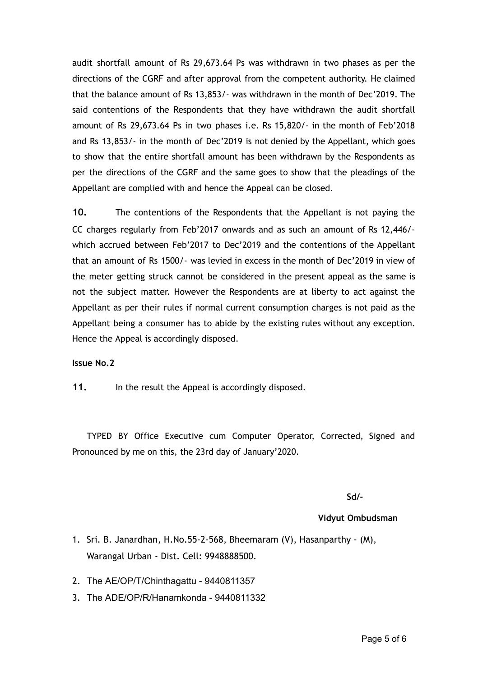audit shortfall amount of Rs 29,673.64 Ps was withdrawn in two phases as per the directions of the CGRF and after approval from the competent authority. He claimed that the balance amount of Rs 13,853/- was withdrawn in the month of Dec'2019. The said contentions of the Respondents that they have withdrawn the audit shortfall amount of Rs 29,673.64 Ps in two phases i.e. Rs 15,820/- in the month of Feb'2018 and Rs 13,853/- in the month of Dec'2019 is not denied by the Appellant, which goes to show that the entire shortfall amount has been withdrawn by the Respondents as per the directions of the CGRF and the same goes to show that the pleadings of the Appellant are complied with and hence the Appeal can be closed.

**10.** The contentions of the Respondents that the Appellant is not paying the CC charges regularly from Feb'2017 onwards and as such an amount of Rs 12,446/ which accrued between Feb'2017 to Dec'2019 and the contentions of the Appellant that an amount of Rs 1500/- was levied in excess in the month of Dec'2019 in view of the meter getting struck cannot be considered in the present appeal as the same is not the subject matter. However the Respondents are at liberty to act against the Appellant as per their rules if normal current consumption charges is not paid as the Appellant being a consumer has to abide by the existing rules without any exception. Hence the Appeal is accordingly disposed.

#### **Issue No.2**

11. In the result the Appeal is accordingly disposed.

TYPED BY Office Executive cum Computer Operator, Corrected, Signed and Pronounced by me on this, the 23rd day of January'2020.

**Sd/-**

#### **Vidyut Ombudsman**

- 1. Sri. B. Janardhan, H.No.55-2-568, Bheemaram (V), Hasanparthy (M), Warangal Urban - Dist. Cell: 9948888500.
- 2. The AE/OP/T/Chinthagattu 9440811357
- 3. The ADE/OP/R/Hanamkonda 9440811332